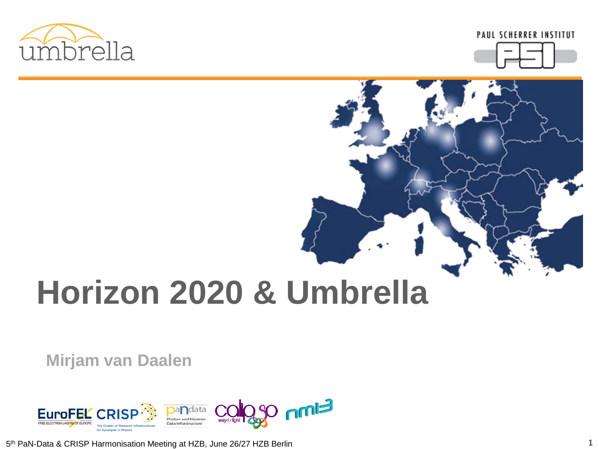



# **Horizon 2020 & Umbrella**

**Mirjam van Daalen**



5th PaN-Data & CRISP Harmonisation Meeting at HZB, June 26/27 HZB Berlin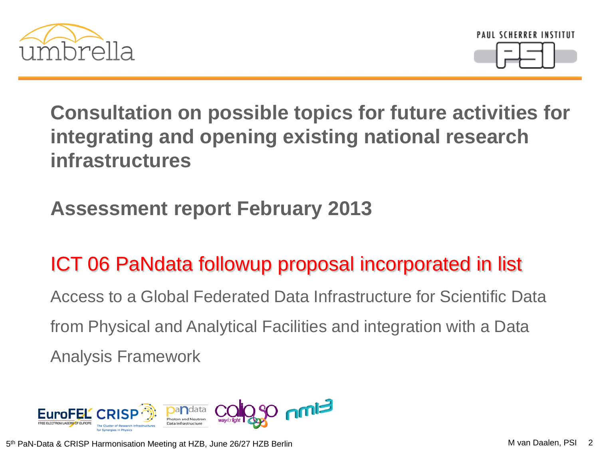



**Consultation on possible topics for future activities for integrating and opening existing national research infrastructures** 

#### **Assessment report February 2013**

## ICT 06 PaNdata followup proposal incorporated in list

Access to a Global Federated Data Infrastructure for Scientific Data from Physical and Analytical Facilities and integration with a Data Analysis Framework

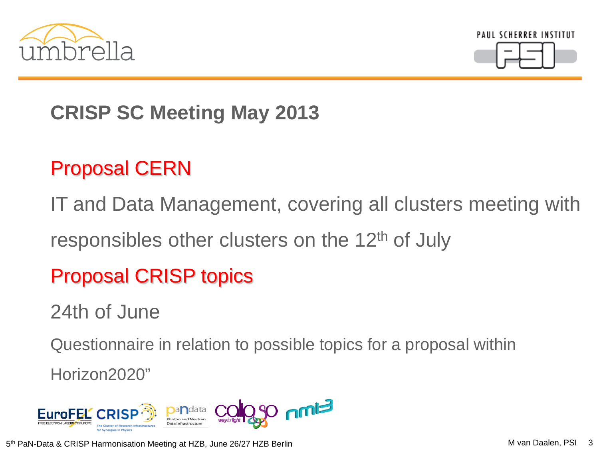



## **CRISP SC Meeting May 2013**

#### Proposal CERN

IT and Data Management, covering all clusters meeting with

responsibles other clusters on the 12<sup>th</sup> of July

#### Proposal CRISP topics

24th of June

Questionnaire in relation to possible topics for a proposal within

Horizon2020"

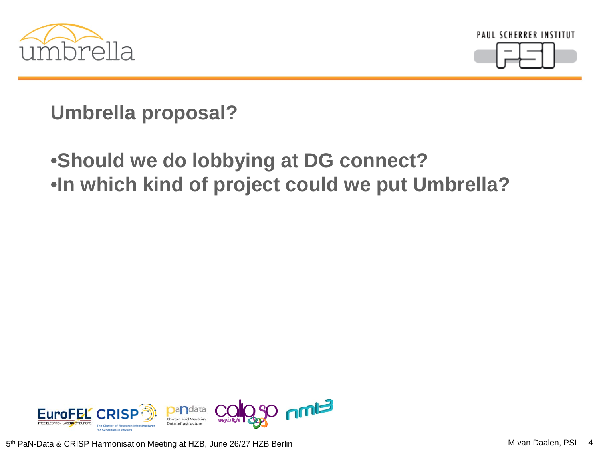



**Umbrella proposal?**

#### •**Should we do lobbying at DG connect?** •**In which kind of project could we put Umbrella?**

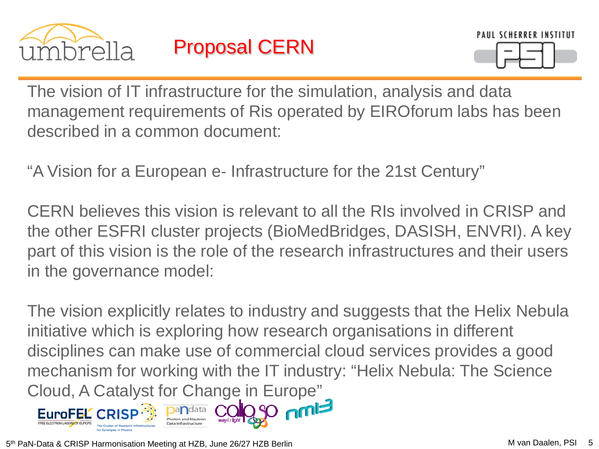



The vision of IT infrastructure for the simulation, analysis and data management requirements of Ris operated by EIROforum labs has been described in a common document:

"A Vision for a European e‐ Infrastructure for the 21st Century"

CERN believes this vision is relevant to all the RIs involved in CRISP and the other ESFRI cluster projects (BioMedBridges, DASISH, ENVRI). A key part of this vision is the role of the research infrastructures and their users in the governance model:

The vision explicitly relates to industry and suggests that the Helix Nebula initiative which is exploring how research organisations in different disciplines can make use of commercial cloud services provides a good mechanism for working with the IT industry: "Helix Nebula: The Science Cloud, A Catalyst for Change in Europe"

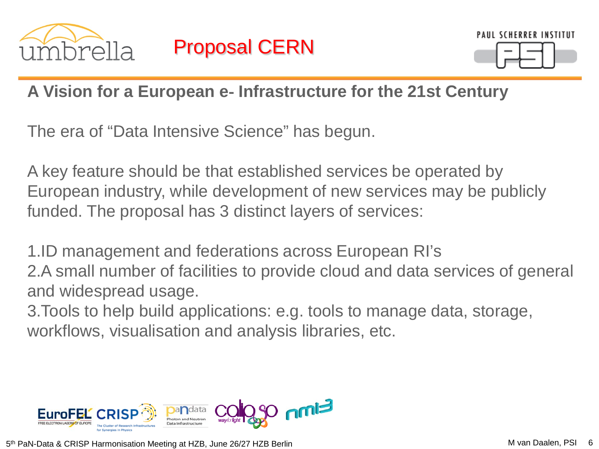



#### **A Vision for a European e**‐ **Infrastructure for the 21st Century**

The era of "Data Intensive Science" has begun.

A key feature should be that established services be operated by European industry, while development of new services may be publicly funded. The proposal has 3 distinct layers of services:

1.ID management and federations across European RI's 2.A small number of facilities to provide cloud and data services of general and widespread usage.

3.Tools to help build applications: e.g. tools to manage data, storage, workflows, visualisation and analysis libraries, etc.

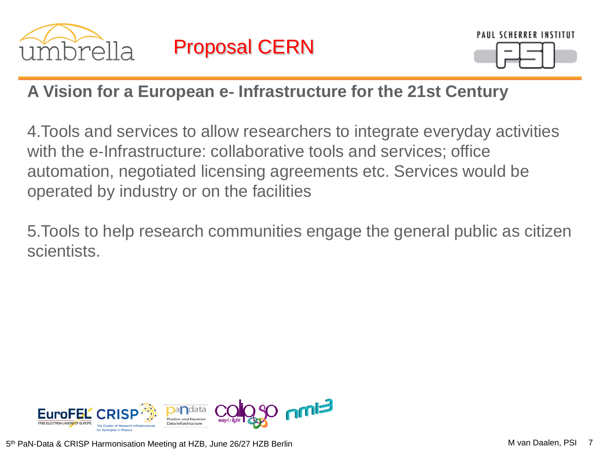



#### **A Vision for a European e**‐ **Infrastructure for the 21st Century**

4.Tools and services to allow researchers to integrate everyday activities with the e-Infrastructure: collaborative tools and services; office automation, negotiated licensing agreements etc. Services would be operated by industry or on the facilities

5.Tools to help research communities engage the general public as citizen scientists.

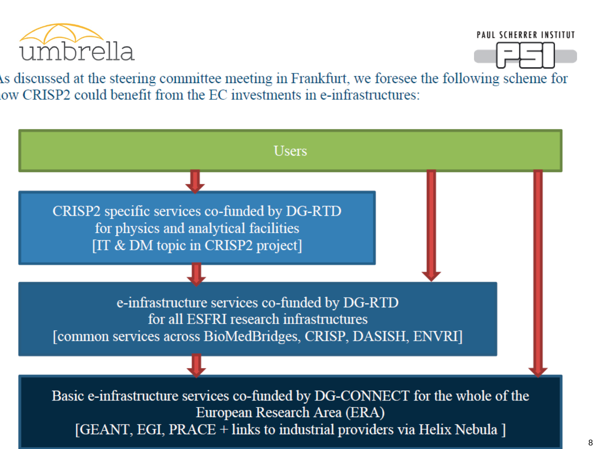

**PAUL SCHERRER INSTITUT** 



As discussed at the steering committee meeting in Frankfurt, we foresee the following scheme for ow CRISP2 could benefit from the EC investments in e-infrastructures:

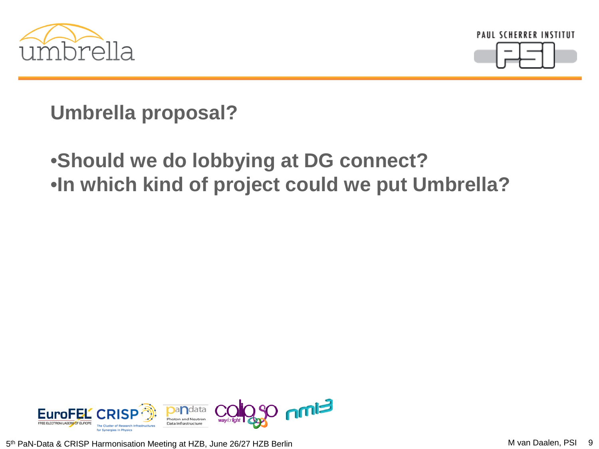



**Umbrella proposal?**

#### •**Should we do lobbying at DG connect?** •**In which kind of project could we put Umbrella?**